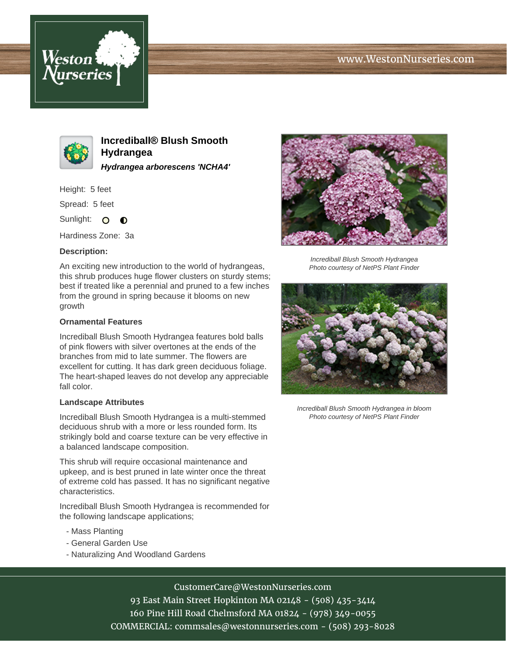





**Incrediball® Blush Smooth Hydrangea Hydrangea arborescens 'NCHA4'**

Height: 5 feet

Spread: 5 feet

Sunlight: O  $\bullet$ 

Hardiness Zone: 3a

## **Description:**

An exciting new introduction to the world of hydrangeas, this shrub produces huge flower clusters on sturdy stems; best if treated like a perennial and pruned to a few inches from the ground in spring because it blooms on new growth

## **Ornamental Features**

Incrediball Blush Smooth Hydrangea features bold balls of pink flowers with silver overtones at the ends of the branches from mid to late summer. The flowers are excellent for cutting. It has dark green deciduous foliage. The heart-shaped leaves do not develop any appreciable fall color.

## **Landscape Attributes**

Incrediball Blush Smooth Hydrangea is a multi-stemmed deciduous shrub with a more or less rounded form. Its strikingly bold and coarse texture can be very effective in a balanced landscape composition.

This shrub will require occasional maintenance and upkeep, and is best pruned in late winter once the threat of extreme cold has passed. It has no significant negative characteristics.

Incrediball Blush Smooth Hydrangea is recommended for the following landscape applications;

- Mass Planting
- General Garden Use
- Naturalizing And Woodland Gardens



Incrediball Blush Smooth Hydrangea Photo courtesy of NetPS Plant Finder



Incrediball Blush Smooth Hydrangea in bloom Photo courtesy of NetPS Plant Finder

CustomerCare@WestonNurseries.com

93 East Main Street Hopkinton MA 02148 - (508) 435-3414 160 Pine Hill Road Chelmsford MA 01824 - (978) 349-0055 COMMERCIAL: commsales@westonnurseries.com - (508) 293-8028